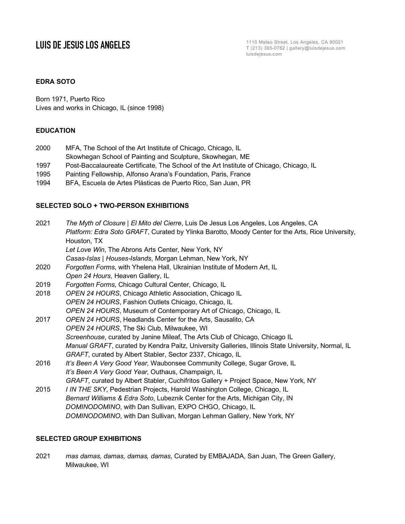**LUIS DE JESUS LOS ANGELES** T (213) 395-0762 | gallery@luisdejesus.com luisdejesus.com

### **EDRA SOTO**

Born 1971, Puerto Rico Lives and works in Chicago, IL (since 1998)

### **EDUCATION**

- 2000 MFA, The School of the Art Institute of Chicago, Chicago, IL
- Skowhegan School of Painting and Sculpture, Skowhegan, ME
- 1997 Post-Baccalaureate Certificate, The School of the Art Institute of Chicago, Chicago, IL
- 1995 Painting Fellowship, Alfonso Arana's Foundation, Paris, France
- 1994 BFA, Escuela de Artes Plásticas de Puerto Rico, San Juan, PR

### **SELECTED SOLO + TWO-PERSON EXHIBITIONS**

| 2021 | The Myth of Closure   El Mito del Cierre, Luis De Jesus Los Angeles, Los Angeles, CA               |
|------|----------------------------------------------------------------------------------------------------|
|      | Platform: Edra Soto GRAFT, Curated by Ylinka Barotto, Moody Center for the Arts, Rice University,  |
|      | Houston, TX                                                                                        |
|      | Let Love Win, The Abrons Arts Center, New York, NY                                                 |
|      | Casas-Islas   Houses-Islands, Morgan Lehman, New York, NY                                          |
| 2020 | Forgotten Forms, with Yhelena Hall, Ukrainian Institute of Modern Art, IL                          |
|      | Open 24 Hours, Heaven Gallery, IL                                                                  |
| 2019 | Forgotten Forms, Chicago Cultural Center, Chicago, IL                                              |
| 2018 | OPEN 24 HOURS, Chicago Athletic Association, Chicago IL                                            |
|      | OPEN 24 HOURS, Fashion Outlets Chicago, Chicago, IL                                                |
|      | OPEN 24 HOURS, Museum of Contemporary Art of Chicago, Chicago, IL                                  |
| 2017 | OPEN 24 HOURS, Headlands Center for the Arts, Sausalito, CA                                        |
|      | OPEN 24 HOURS, The Ski Club, Milwaukee, WI                                                         |
|      | Screenhouse, curated by Janine Mileaf, The Arts Club of Chicago, Chicago IL                        |
|      | Manual GRAFT, curated by Kendra Paitz, University Galleries, Illinois State University, Normal, IL |
|      | GRAFT, curated by Albert Stabler, Sector 2337, Chicago, IL                                         |
| 2016 | It's Been A Very Good Year, Waubonsee Community College, Sugar Grove, IL                           |
|      | It's Been A Very Good Year, Outhaus, Champaign, IL                                                 |
|      | GRAFT, curated by Albert Stabler, Cuchifritos Gallery + Project Space, New York, NY                |
| 2015 | I IN THE SKY, Pedestrian Projects, Harold Washington College, Chicago, IL                          |
|      | Bernard Williams & Edra Soto, Lubeznik Center for the Arts, Michigan City, IN                      |
|      | DOMINODOMINO, with Dan Sullivan, EXPO CHGO, Chicago, IL                                            |

*DOMINODOMINO*, with Dan Sullivan, Morgan Lehman Gallery, New York, NY

### **SELECTED GROUP EXHIBITIONS**

2021 *mas damas, damas, damas, damas*, Curated by EMBAJADA, San Juan, The Green Gallery, Milwaukee, WI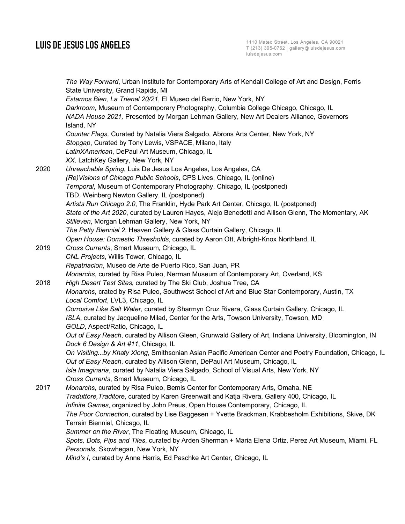## **LUIS DE JESUS LOS ANGELES**

*The Way Forward*, Urban Institute for Contemporary Arts of Kendall College of Art and Design, Ferris State University, Grand Rapids, MI *Estamos Bien, La Trienal 20/21*, El Museo del Barrio, New York, NY *Darkroom,* Museum of Contemporary Photography, Columbia College Chicago, Chicago, IL *NADA House 2021,* Presented by Morgan Lehman Gallery, New Art Dealers Alliance, Governors Island, NY *Counter Flags,* Curated by Natalia Viera Salgado, Abrons Arts Center, New York, NY *Stopgap*, Curated by Tony Lewis, VSPACE, Milano, Italy *LatinXAmerican*, DePaul Art Museum, Chicago, IL *XX,* LatchKey Gallery, New York, NY 2020 *Unreachable Spring*, Luis De Jesus Los Angeles, Los Angeles, CA *(Re)Visions of Chicago Public Schools*, CPS Lives, Chicago, IL (online) *Temporal*, Museum of Contemporary Photography, Chicago, IL (postponed) TBD, Weinberg Newton Gallery, IL (postponed) *Artists Run Chicago 2.0*, The Franklin, Hyde Park Art Center, Chicago, IL (postponed) *State of the Art 2020*, curated by Lauren Hayes, Alejo Benedetti and Allison Glenn, The Momentary, AK *Stilleven*, Morgan Lehman Gallery, New York, NY *The Petty Biennial 2*, Heaven Gallery & Glass Curtain Gallery, Chicago, IL *Open House: Domestic Thresholds*, curated by Aaron Ott, Albright-Knox Northland, IL 2019 *Cross Currents*, Smart Museum, Chicago, IL *CNL Projects*, Willis Tower, Chicago, IL *Repatriacion*, Museo de Arte de Puerto Rico, San Juan, PR *Monarchs*, curated by Risa Puleo, Nerman Museum of Contemporary Art, Overland, KS 2018 *High Desert Test Sites*, curated by The Ski Club, Joshua Tree, CA *Monarchs*, crated by Risa Puleo, Southwest School of Art and Blue Star Contemporary, Austin, TX *Local Comfort*, LVL3, Chicago, IL *Corrosive Like Salt Water*, curated by Sharmyn Cruz Rivera, Glass Curtain Gallery, Chicago, IL *ISLA*, curated by Jacqueline Milad, Center for the Arts, Towson University, Towson, MD *GOLD*, Aspect/Ratio, Chicago, IL *Out of Easy Reach*, curated by Allison Gleen, Grunwald Gallery of Art, Indiana University, Bloomington, IN *Dock 6 Design & Art #11*, Chicago, IL *On Visiting...by Khaty Xiong*, Smithsonian Asian Pacific American Center and Poetry Foundation, Chicago, IL *Out of Easy Reach*, curated by Allison Glenn, DePaul Art Museum, Chicago, IL *Isla Imaginaria*, curated by Natalia Viera Salgado, School of Visual Arts, New York, NY *Cross Currents*, Smart Museum, Chicago, IL 2017 *Monarchs*, curated by Risa Puleo, Bemis Center for Contemporary Arts, Omaha, NE *Traduttore,Traditore*, curated by Karen Greenwalt and Katja Rivera, Gallery 400, Chicago, IL *Infinite Games*, organized by John Preus, Open House Contemporary, Chicago, IL *The Poor Connection*, curated by Lise Baggesen + Yvette Brackman, Krabbesholm Exhibitions, Skive, DK Terrain Biennial, Chicago, IL *Summer on the River*, The Floating Museum, Chicago, IL *Spots, Dots, Pips and Tiles*, curated by Arden Sherman + Maria Elena Ortiz, Perez Art Museum, Miami, FL *Personals*, Skowhegan, New York, NY *Mind's I*, curated by Anne Harris, Ed Paschke Art Center, Chicago, IL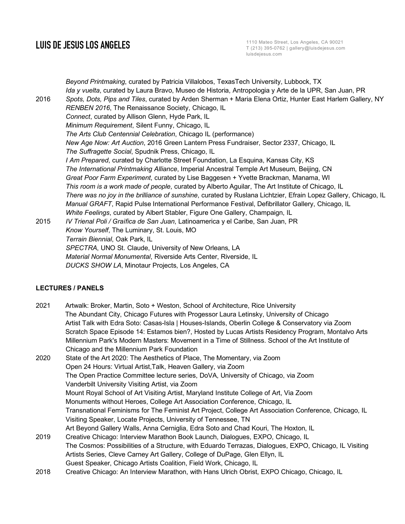**LUIS DE JESUS LOS ANGELES** T (213) 395-0762 | gallery@luisdejesus.com luisdejesus.com

*Beyond Printmaking*, curated by Patricia Villalobos, TexasTech University, Lubbock, TX *Ida y vuelta*, curated by Laura Bravo, Museo de Historia, Antropologia y Arte de la UPR, San Juan, PR 2016 *Spots, Dots, Pips and Tiles*, curated by Arden Sherman + Maria Elena Ortiz, Hunter East Harlem Gallery, NY *RENBEN 2016*, The Renaissance Society, Chicago, IL *Connect*, curated by Allison Glenn, Hyde Park, IL *Minimum Requirement*, Silent Funny, Chicago, IL *The Arts Club Centennial Celebration*, Chicago IL (performance) *New Age Now: Art Auction*, 2016 Green Lantern Press Fundraiser, Sector 2337, Chicago, IL *The Suffragette Social*, Spudnik Press, Chicago, IL *I Am Prepared*, curated by Charlotte Street Foundation, La Esquina, Kansas City, KS *The International Printmaking Alliance*, Imperial Ancestral Temple Art Museum, Beijing, CN *Great Poor Farm Experiment*, curated by Lise Baggesen + Yvette Brackman, Manama, WI *This room is a work made of people*, curated by Alberto Aguilar, The Art Institute of Chicago, IL *There was no joy in the brilliance of sunshine*, curated by Ruslana Lichtzier, Efrain Lopez Gallery, Chicago, IL *Manual GRAFT*, Rapid Pulse International Performance Festival, Defibrillator Gallery, Chicago, IL *White Feelings*, curated by Albert Stabler, Figure One Gallery, Champaign, IL 2015 *IV Trienal Poli / Graìfica de San Juan*, Latinoamerica y el Caribe, San Juan, PR *Know Yourself*, The Luminary, St. Louis, MO *Terrain Biennial*, Oak Park, IL *SPECTRA*, UNO St. Claude, University of New Orleans, LA *Material Normal Monumental*, Riverside Arts Center, Riverside, IL *DUCKS SHOW LA*, Minotaur Projects, Los Angeles, CA

# **LECTURES / PANELS**

| 2021 | Artwalk: Broker, Martin, Soto + Weston, School of Architecture, Rice University                        |
|------|--------------------------------------------------------------------------------------------------------|
|      | The Abundant City, Chicago Futures with Progessor Laura Letinsky, University of Chicago                |
|      | Artist Talk with Edra Soto: Casas-Isla   Houses-Islands, Oberlin College & Conservatory via Zoom       |
|      | Scratch Space Episode 14: Estamos bien?, Hosted by Lucas Artists Residency Program, Montalvo Arts      |
|      | Millennium Park's Modern Masters: Movement in a Time of Stillness. School of the Art Institute of      |
|      | Chicago and the Millennium Park Foundation                                                             |
| 2020 | State of the Art 2020: The Aesthetics of Place, The Momentary, via Zoom                                |
|      | Open 24 Hours: Virtual Artist, Talk, Heaven Gallery, via Zoom                                          |
|      | The Open Practice Committee lecture series, DoVA, University of Chicago, via Zoom                      |
|      | Vanderbilt University Visiting Artist, via Zoom                                                        |
|      | Mount Royal School of Art Visiting Artist, Maryland Institute College of Art, Via Zoom                 |
|      | Monuments without Heroes, College Art Association Conference, Chicago, IL                              |
|      | Transnational Feminisms for The Feminist Art Project, College Art Association Conference, Chicago, IL  |
|      | Visiting Speaker, Locate Projects, University of Tennessee, TN                                         |
|      | Art Beyond Gallery Walls, Anna Cerniglia, Edra Soto and Chad Kouri, The Hoxton, IL                     |
| 2019 | Creative Chicago: Interview Marathon Book Launch, Dialogues, EXPO, Chicago, IL                         |
|      | The Cosmos: Possibilities of a Structure, with Eduardo Terrazas, Dialogues, EXPO, Chicago, IL Visiting |
|      | Artists Series, Cleve Carney Art Gallery, College of DuPage, Glen Ellyn, IL                            |
|      | Guest Speaker, Chicago Artists Coalition, Field Work, Chicago, IL                                      |
| 2018 | Creative Chicago: An Interview Marathon, with Hans Ulrich Obrist, EXPO Chicago, Chicago, IL            |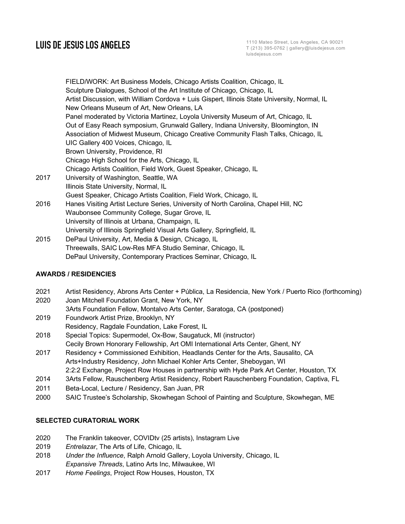FIELD/WORK: Art Business Models, Chicago Artists Coalition, Chicago, IL Sculpture Dialogues, School of the Art Institute of Chicago, Chicago, IL Artist Discussion, with William Cordova + Luis Gispert, Illinois State University, Normal, IL New Orleans Museum of Art, New Orleans, LA Panel moderated by Victoria Martinez, Loyola University Museum of Art, Chicago, IL Out of Easy Reach symposium, Grunwald Gallery, Indiana University, Bloomington, IN Association of Midwest Museum, Chicago Creative Community Flash Talks, Chicago, IL UIC Gallery 400 Voices, Chicago, IL Brown University, Providence, RI Chicago High School for the Arts, Chicago, IL Chicago Artists Coalition, Field Work, Guest Speaker, Chicago, IL 2017 University of Washington, Seattle, WA Illinois State University, Normal, IL Guest Speaker, Chicago Artists Coalition, Field Work, Chicago, IL 2016 Hanes Visiting Artist Lecture Series, University of North Carolina, Chapel Hill, NC Waubonsee Community College, Sugar Grove, IL University of Illinois at Urbana, Champaign, IL University of Illinois Springfield Visual Arts Gallery, Springfield, IL 2015 DePaul University, Art, Media & Design, Chicago, IL Threewalls, SAIC Low-Res MFA Studio Seminar, Chicago, IL

### **AWARDS / RESIDENCIES**

- 2021 Artist Residency, Abrons Arts Center + Pública, La Residencia, New York / Puerto Rico (forthcoming)
- 2020 Joan Mitchell Foundation Grant, New York, NY
- 3Arts Foundation Fellow, Montalvo Arts Center, Saratoga, CA (postponed)

DePaul University, Contemporary Practices Seminar, Chicago, IL

- 2019 Foundwork Artist Prize, Brooklyn, NY
- Residency, Ragdale Foundation, Lake Forest, IL
- 2018 Special Topics: Supermodel, Ox-Bow, Saugatuck, MI (instructor) Cecily Brown Honorary Fellowship, Art OMI International Arts Center, Ghent, NY
- 2017 Residency + Commissioned Exhibition, Headlands Center for the Arts, Sausalito, CA Arts+Industry Residency, John Michael Kohler Arts Center, Sheboygan, WI 2:2:2 Exchange, Project Row Houses in partnership with Hyde Park Art Center, Houston, TX
- 
- 2014 3Arts Fellow, Rauschenberg Artist Residency, Robert Rauschenberg Foundation, Captiva, FL
- 2011 Beta-Local, Lecture / Residency, San Juan, PR
- 2000 SAIC Trustee's Scholarship, Skowhegan School of Painting and Sculpture, Skowhegan, ME

### **SELECTED CURATORIAL WORK**

- 2020 The Franklin takeover, COVIDtv (25 artists), Instagram Live
- 2019 *Entrelazar*, The Arts of Life, Chicago, IL
- 2018 *Under the Influence*, Ralph Arnold Gallery, Loyola University, Chicago, IL *Expansive Threads*, Latino Arts Inc, Milwaukee, WI
- 2017 *Home Feelings*, Project Row Houses, Houston, TX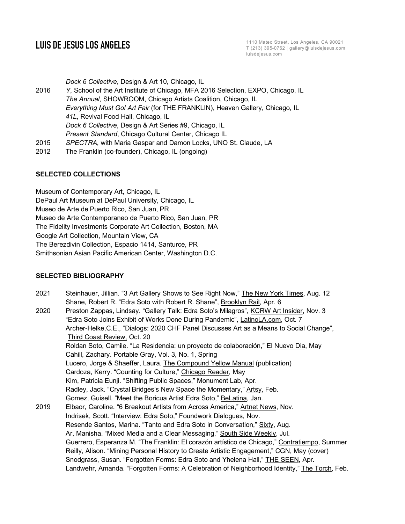**LUIS DE JESUS LOS ANGELES** 1110 Mateo Street, Los Angeles, CA 90021 T (213) 395-0762 | gallery@luisdejesus.com luisdejesus.com

*Dock 6 Collective*, Design & Art 10, Chicago, IL

- 2016 *Y*, School of the Art Institute of Chicago, MFA 2016 Selection, EXPO, Chicago, IL *The Annual*, SHOWROOM, Chicago Artists Coalition, Chicago, IL *Everything Must Go! Art Fair* (for THE FRANKLIN), Heaven Gallery, Chicago, IL *41L*, Revival Food Hall, Chicago, IL *Dock 6 Collective*, Design & Art Series #9, Chicago, IL *Present Standard*, Chicago Cultural Center, Chicago IL 2015 *SPECTRA*, with Maria Gaspar and Damon Locks, UNO St. Claude, LA
- 2012 The Franklin (co-founder), Chicago, IL (ongoing)

### **SELECTED COLLECTIONS**

Museum of Contemporary Art, Chicago, IL DePaul Art Museum at DePaul University, Chicago, IL Museo de Arte de Puerto Rico, San Juan, PR Museo de Arte Contemporaneo de Puerto Rico, San Juan, PR The Fidelity Investments Corporate Art Collection, Boston, MA Google Art Collection, Mountain View, CA The Berezdivin Collection, Espacio 1414, Santurce, PR Smithsonian Asian Pacific American Center, Washington D.C.

### **SELECTED BIBLIOGRAPHY**

- 2021 Steinhauer, Jillian. "3 Art Gallery Shows to See Right Now," The New York Times, Aug. 12 Shane, Robert R. "Edra Soto with Robert R. Shane", Brooklyn Rail, Apr. 6
- 2020 Preston Zappas, Lindsay. "Gallery Talk: Edra Soto's Milagros", KCRW Art Insider, Nov. 3 "Edra Soto Joins Exhibit of Works Done During Pandemic", LatinoLA.com, Oct. 7 Archer-Helke,C.E., "Dialogs: 2020 CHF Panel Discusses Art as a Means to Social Change", Third Coast Review, Oct. 20 Roldan Soto, Camile. "La Residencia: un proyecto de colaboración," El Nuevo Dia, May Cahill, Zachary. Portable Gray, Vol. 3, No. 1, Spring Lucero, Jorge & Shaeffer, Laura. The Compound Yellow Manual (publication) Cardoza, Kerry. "Counting for Culture," Chicago Reader, May Kim, Patricia Eunji. "Shifting Public Spaces," Monument Lab, Apr. Radley, Jack. "Crystal Bridges's New Space the Momentary," Artsy, Feb. Gomez, Guisell. "Meet the Boricua Artist Edra Soto," BeLatina, Jan. 2019 Elbaor, Caroline. "6 Breakout Artists from Across America," Artnet News, Nov. Indrisek, Scott. "Interview: Edra Soto," Foundwork Dialogues, Nov. Resende Santos, Marina. "Tanto and Edra Soto in Conversation," Sixty, Aug. Ar, Manisha. "Mixed Media and a Clear Messaging," South Side Weekly, Jul. Guerrero, Esperanza M. "The Franklin: El corazón artístico de Chicago," Contratiempo, Summer Reilly, Alison. "Mining Personal History to Create Artistic Engagement," CGN, May (cover) Snodgrass, Susan. "Forgotten Forms: Edra Soto and Yhelena Hall," THE SEEN, Apr. Landwehr, Amanda. "Forgotten Forms: A Celebration of Neighborhood Identity," The Torch, Feb.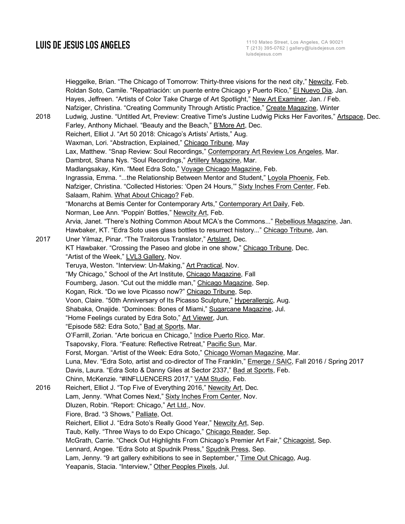Hieggelke, Brian. "The Chicago of Tomorrow: Thirty-three visions for the next city," Newcity, Feb. Roldan Soto, Camile. "Repatriación: un puente entre Chicago y Puerto Rico," El Nuevo Dia, Jan. Hayes, Jeffreen. "Artists of Color Take Charge of Art Spotlight," New Art Examiner, Jan. / Feb. Nafziger, Christina. "Creating Community Through Artistic Practice," Create Magazine, Winter 2018 Ludwig, Justine. "Untitled Art, Preview: Creative Time's Justine Ludwig Picks Her Favorites," Artspace, Dec. Farley, Anthony Michael. "Beauty and the Beach," B'More Art, Dec. Reichert, Elliot J. "Art 50 2018: Chicago's Artists' Artists," Aug. Waxman, Lori. "Abstraction, Explained," Chicago Tribune, May Lax, Matthew. "Snap Review: Soul Recordings," Contemporary Art Review Los Angeles, Mar. Dambrot, Shana Nys. "Soul Recordings," Artillery Magazine, Mar. Madlangsakay, Kim. "Meet Edra Soto," Voyage Chicago Magazine, Feb. Ingrassia, Emma. "...the Relationship Between Mentor and Student," Loyola Phoenix, Feb. Nafziger, Christina. "Collected Histories: 'Open 24 Hours,'" Sixty Inches From Center, Feb. Salaam, Rahim. What About Chicago? Feb. "Monarchs at Bemis Center for Contemporary Arts," Contemporary Art Daily, Feb. Norman, Lee Ann. "Poppin' Bottles," Newcity Art, Feb. Arvia, Janet. "There's Nothing Common About MCA's the Commons..." Rebellious Magazine, Jan. Hawbaker, KT. "Edra Soto uses glass bottles to resurrect history..." Chicago Tribune, Jan. 2017 Uner Yilmaz, Pinar. "The Traitorous Translator," Artslant, Dec. KT Hawbaker. "Crossing the Paseo and globe in one show," Chicago Tribune, Dec. "Artist of the Week," LVL3 Gallery, Nov. Teruya, Weston. "Interview: Un-Making," Art Practical, Nov. "My Chicago," School of the Art Institute, Chicago Magazine, Fall Foumberg, Jason. "Cut out the middle man," Chicago Magazine, Sep. Kogan, Rick. "Do we love Picasso now?" Chicago Tribune, Sep. Voon, Claire. "50th Anniversary of Its Picasso Sculpture," Hyperallergic, Aug. Shabaka, Onajide. "Dominoes: Bones of Miami," Sugarcane Magazine, Jul. "Home Feelings curated by Edra Soto," Art Viewer, Jun. "Episode 582: Edra Soto," Bad at Sports, Mar. O'Farrill, Zorian. "Arte boricua en Chicago," Indice Puerto Rico, Mar. Tsapovsky, Flora. "Feature: Reflective Retreat," Pacific Sun, Mar. Forst, Morgan. "Artist of the Week: Edra Soto," Chicago Woman Magazine, Mar. Luna, Mev. "Edra Soto, artist and co-director of The Franklin," Emerge / SAIC, Fall 2016 / Spring 2017 Davis, Laura. "Edra Soto & Danny Giles at Sector 2337," Bad at Sports, Feb. Chinn, McKenzie. "#INFLUENCERS 2017," VAM Studio, Feb. 2016 Reichert, Elliot J. "Top Five of Everything 2016," Newcity Art, Dec. Lam, Jenny. "What Comes Next," Sixty Inches From Center, Nov. Dluzen, Robin. "Report: Chicago," Art Ltd., Nov. Fiore, Brad. "3 Shows," Palliate, Oct. Reichert, Elliot J. "Edra Soto's Really Good Year," Newcity Art, Sep. Taub, Kelly. "Three Ways to do Expo Chicago," Chicago Reader, Sep. McGrath, Carrie. "Check Out Highlights From Chicago's Premier Art Fair," Chicagoist, Sep. Lennard, Angee. "Edra Soto at Spudnik Press," Spudnik Press, Sep. Lam, Jenny. "9 art gallery exhibitions to see in September," Time Out Chicago, Aug. Yeapanis, Stacia. "Interview," Other Peoples Pixels, Jul.